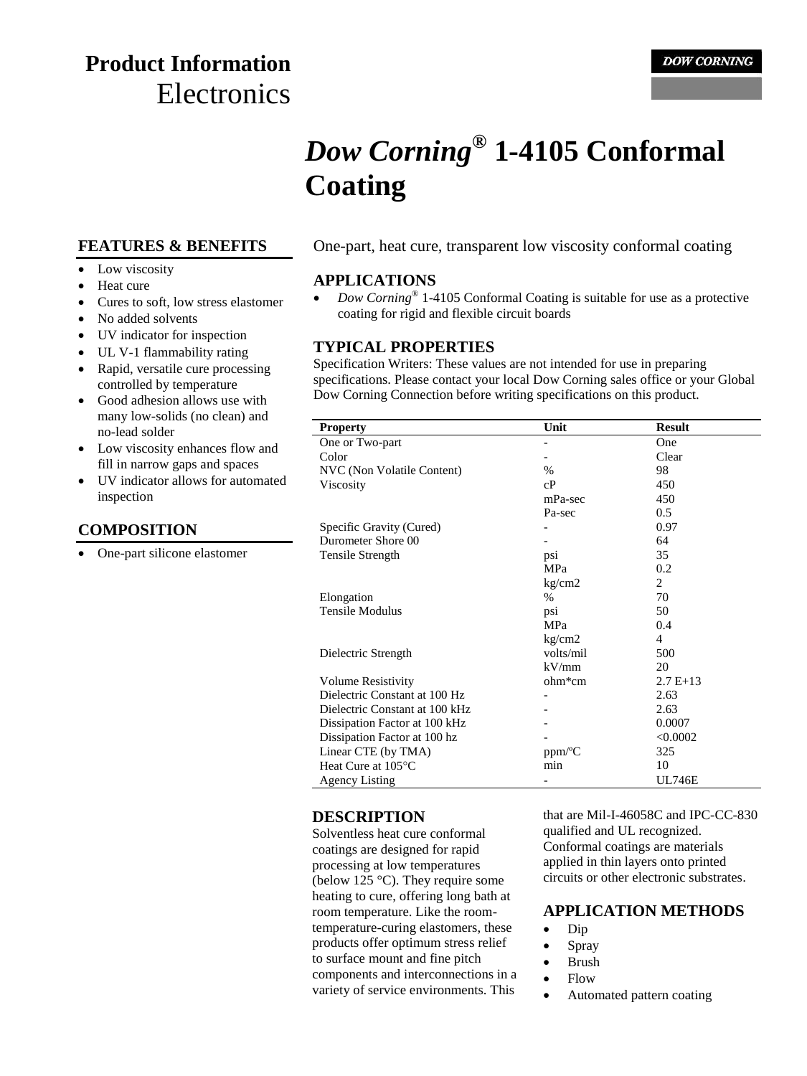# **Product Information Electronics**

# *Dow Corning***® 1-4105 Conformal Coating**

#### **FEATURES & BENEFITS**

- Low viscosity
- Heat cure
- Cures to soft, low stress elastomer
- No added solvents
- UV indicator for inspection
- UL V-1 flammability rating
- Rapid, versatile cure processing controlled by temperature
- Good adhesion allows use with many low-solids (no clean) and no-lead solder
- Low viscosity enhances flow and fill in narrow gaps and spaces
- UV indicator allows for automated inspection

#### **COMPOSITION**

One-part silicone elastomer

One-part, heat cure, transparent low viscosity conformal coating

#### **APPLICATIONS**

• *Dow Corning*<sup>®</sup> 1-4105 Conformal Coating is suitable for use as a protective coating for rigid and flexible circuit boards

#### **TYPICAL PROPERTIES**

Specification Writers: These values are not intended for use in preparing specifications. Please contact your local Dow Corning sales office or your Global Dow Corning Connection before writing specifications on this product.

| <b>Property</b>                | Unit       | <b>Result</b> |
|--------------------------------|------------|---------------|
| One or Two-part                |            | One           |
| Color                          |            | Clear         |
| NVC (Non Volatile Content)     | $\%$       | 98            |
| Viscosity                      | cP         | 450           |
|                                | mPa-sec    | 450           |
|                                | Pa-sec     | 0.5           |
| Specific Gravity (Cured)       |            | 0.97          |
| Durometer Shore 00             |            | 64            |
| Tensile Strength               | psi        | 35            |
|                                | <b>MPa</b> | 0.2           |
|                                | kg/cm2     | 2             |
| Elongation                     | %          | 70            |
| Tensile Modulus                | psi        | 50            |
|                                | MPa        | 0.4           |
|                                | kg/cm2     | 4             |
| Dielectric Strength            | volts/mil  | 500           |
|                                | kV/mm      | 20            |
| Volume Resistivity             | ohm*cm     | $2.7E+13$     |
| Dielectric Constant at 100 Hz  |            | 2.63          |
| Dielectric Constant at 100 kHz |            | 2.63          |
| Dissipation Factor at 100 kHz  |            | 0.0007        |
| Dissipation Factor at 100 hz   |            | < 0.0002      |
| Linear CTE (by TMA)            | ppm/°C     | 325           |
| Heat Cure at 105°C             | min        | 10            |
| <b>Agency Listing</b>          |            | <b>UL746E</b> |

#### **DESCRIPTION**

Solventless heat cure conformal coatings are designed for rapid processing at low temperatures (below 125 °C). They require some heating to cure, offering long bath at room temperature. Like the roomtemperature-curing elastomers, these products offer optimum stress relief to surface mount and fine pitch components and interconnections in a variety of service environments. This

that are Mil-I-46058C and IPC-CC-830 qualified and UL recognized. Conformal coatings are materials applied in thin layers onto printed circuits or other electronic substrates.

#### **APPLICATION METHODS**

- $\bullet$  Dip
- Spray
- Brush
- Flow
- Automated pattern coating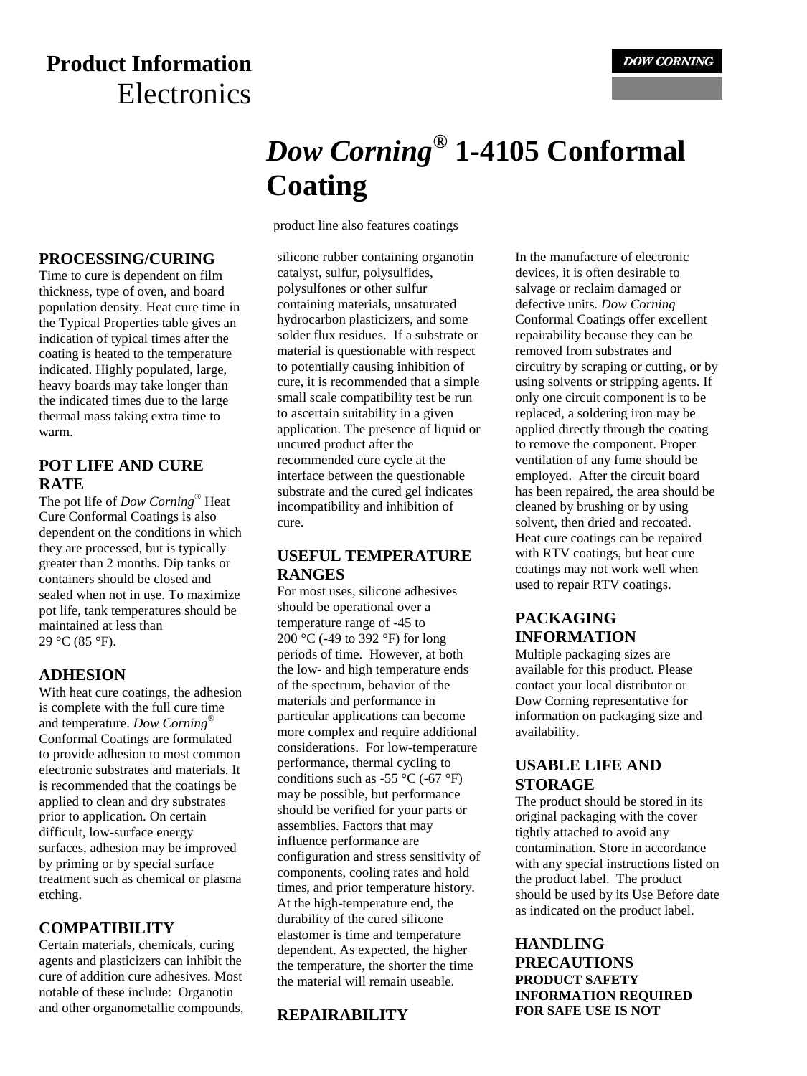# **Product Information Electronics**

# *Dow Corning***® 1-4105 Conformal Coating**

product line also features coatings

**PROCESSING/CURING** Time to cure is dependent on film thickness, type of oven, and board population density. Heat cure time in the Typical Properties table gives an indication of typical times after the coating is heated to the temperature indicated. Highly populated, large, heavy boards may take longer than the indicated times due to the large thermal mass taking extra time to **POT LIFE AND CURE**  silicone rubber containing organotin

The pot life of *Dow Corning*® Heat Cure Conformal Coatings is also dependent on the conditions in which they are processed, but is typically greater than 2 months. Dip tanks or containers should be closed and sealed when not in use. To maximize pot life, tank temperatures should be maintained at less than 29 °C (85 °F).

#### **ADHESION**

warm.

**RATE**

With heat cure coatings, the adhesion is complete with the full cure time and temperature. *Dow Corning*® Conformal Coatings are formulated to provide adhesion to most common electronic substrates and materials. It is recommended that the coatings be applied to clean and dry substrates prior to application. On certain difficult, low-surface energy surfaces, adhesion may be improved by priming or by special surface treatment such as chemical or plasma etching.

#### **COMPATIBILITY**

Certain materials, chemicals, curing agents and plasticizers can inhibit the cure of addition cure adhesives. Most notable of these include: Organotin and other organometallic compounds, catalyst, sulfur, polysulfides, polysulfones or other sulfur containing materials, unsaturated hydrocarbon plasticizers, and some solder flux residues. If a substrate or material is questionable with respect to potentially causing inhibition of cure, it is recommended that a simple small scale compatibility test be run to ascertain suitability in a given application. The presence of liquid or uncured product after the recommended cure cycle at the interface between the questionable substrate and the cured gel indicates incompatibility and inhibition of cure.

#### **USEFUL TEMPERATURE RANGES**

For most uses, silicone adhesives should be operational over a temperature range of -45 to 200 °C (-49 to 392 °F) for long periods of time. However, at both the low- and high temperature ends of the spectrum, behavior of the materials and performance in particular applications can become more complex and require additional considerations. For low-temperature performance, thermal cycling to conditions such as -55  $^{\circ}$ C (-67  $^{\circ}$ F) may be possible, but performance should be verified for your parts or assemblies. Factors that may influence performance are configuration and stress sensitivity of components, cooling rates and hold times, and prior temperature history. At the high-temperature end, the durability of the cured silicone elastomer is time and temperature dependent. As expected, the higher the temperature, the shorter the time the material will remain useable.

#### **REPAIRABILITY**

In the manufacture of electronic devices, it is often desirable to salvage or reclaim damaged or defective units. *Dow Corning* Conformal Coatings offer excellent repairability because they can be removed from substrates and circuitry by scraping or cutting, or by using solvents or stripping agents. If only one circuit component is to be replaced, a soldering iron may be applied directly through the coating to remove the component. Proper ventilation of any fume should be employed. After the circuit board has been repaired, the area should be cleaned by brushing or by using solvent, then dried and recoated. Heat cure coatings can be repaired with RTV coatings, but heat cure coatings may not work well when used to repair RTV coatings.

## **PACKAGING INFORMATION**

Multiple packaging sizes are available for this product. Please contact your local distributor or Dow Corning representative for information on packaging size and availability.

#### **USABLE LIFE AND STORAGE**

The product should be stored in its original packaging with the cover tightly attached to avoid any contamination. Store in accordance with any special instructions listed on the product label. The product should be used by its Use Before date as indicated on the product label.

#### **HANDLING PRECAUTIONS PRODUCT SAFETY INFORMATION REQUIRED FOR SAFE USE IS NOT**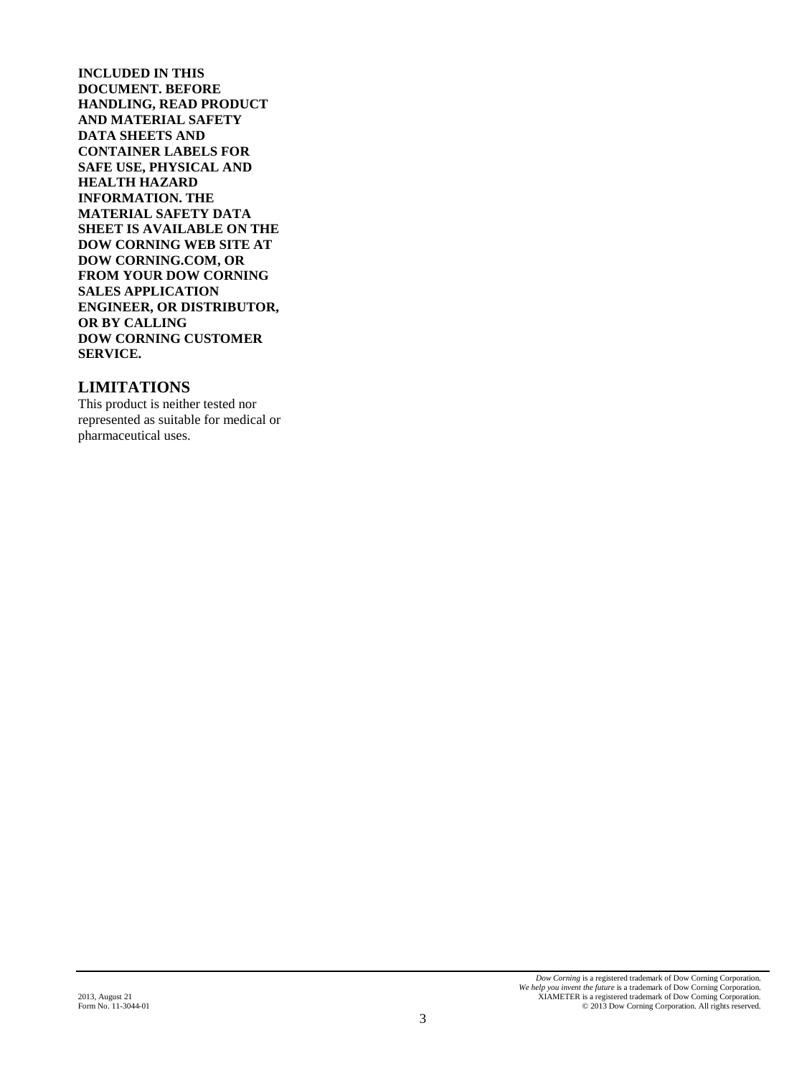**INCLUDED IN THIS DOCUMENT. BEFORE HANDLING, READ PRODUCT AND MATERIAL SAFETY DATA SHEETS AND CONTAINER LABELS FOR SAFE USE, PHYSICAL AND HEALTH HAZARD INFORMATION. THE MATERIAL SAFETY DATA SHEET IS AVAILABLE ON THE DOW CORNING WEB SITE AT DOW CORNING.COM, OR FROM YOUR DOW CORNING SALES APPLICATION ENGINEER, OR DISTRIBUTOR, OR BY CALLING DOW CORNING CUSTOMER SERVICE.**

#### **LIMITATIONS**

This product is neither tested nor represented as suitable for medical or pharmaceutical uses.